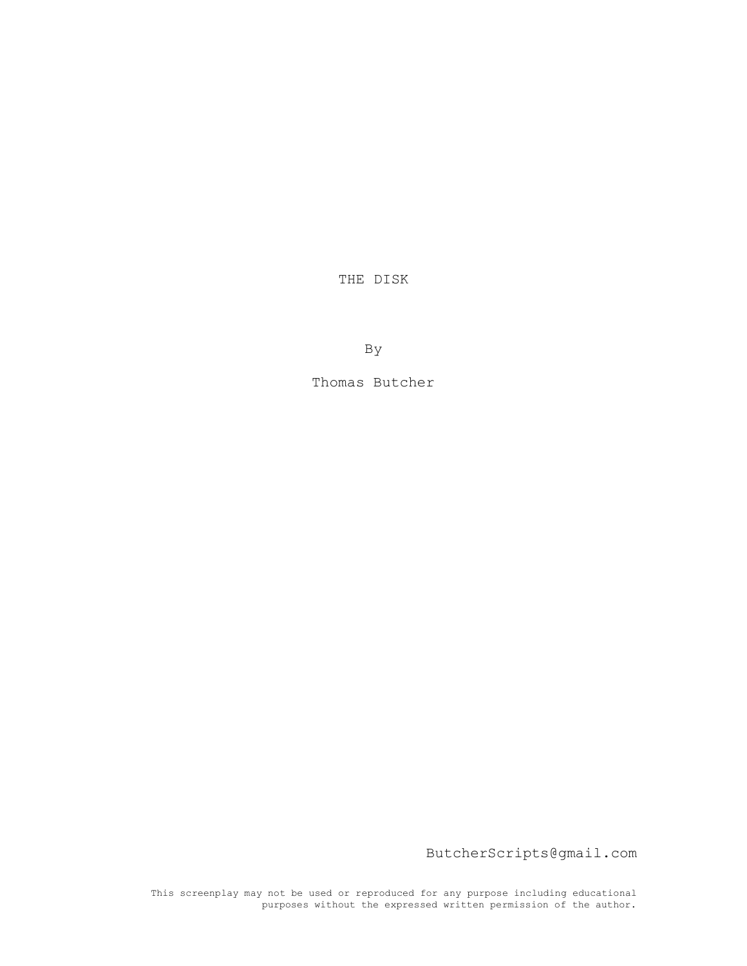THE DISK

By

Thomas Butcher

ButcherScripts@gmail.com

This screenplay may not be used or reproduced for any purpose including educational purposes without the expressed written permission of the author.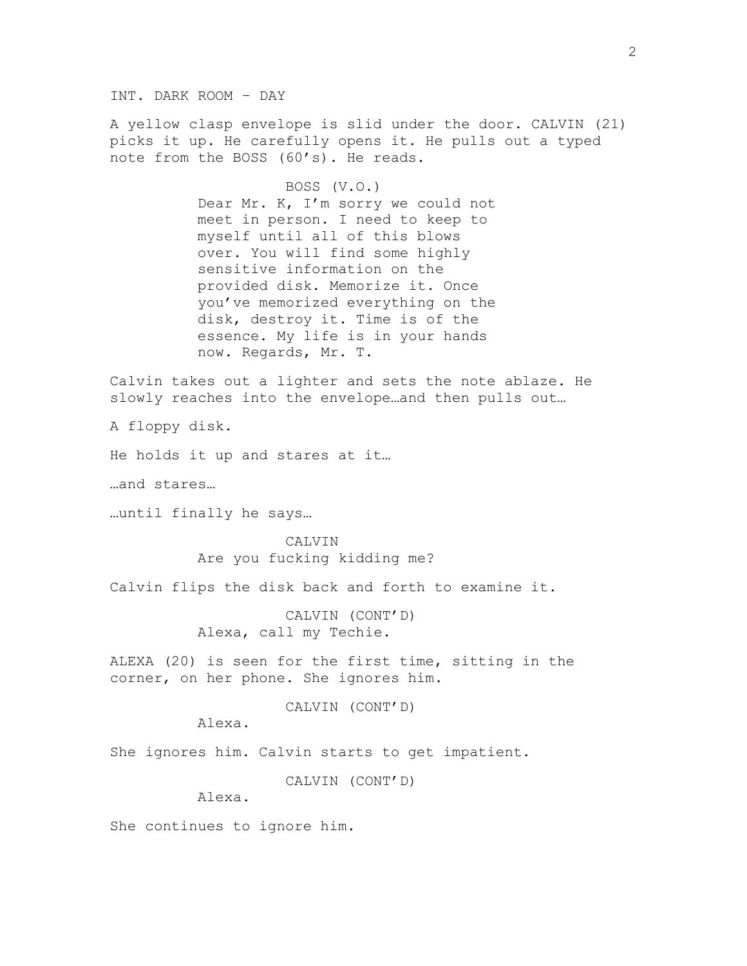INT. DARK ROOM – DAY

A yellow clasp envelope is slid under the door. CALVIN (21) picks it up. He carefully opens it. He pulls out a typed note from the BOSS (60's). He reads.

> BOSS (V.O.) Dear Mr. K, I'm sorry we could not meet in person. I need to keep to myself until all of this blows over. You will find some highly sensitive information on the provided disk. Memorize it. Once you've memorized everything on the disk, destroy it. Time is of the essence. My life is in your hands now. Regards, Mr. T.

Calvin takes out a lighter and sets the note ablaze. He slowly reaches into the envelope…and then pulls out…

A floppy disk.

He holds it up and stares at it…

…and stares…

…until finally he says…

CALVIN Are you fucking kidding me?

Calvin flips the disk back and forth to examine it.

CALVIN (CONT'D) Alexa, call my Techie.

ALEXA (20) is seen for the first time, sitting in the corner, on her phone. She ignores him.

CALVIN (CONT'D)

Alexa.

She ignores him. Calvin starts to get impatient.

CALVIN (CONT'D)

Alexa.

She continues to ignore him.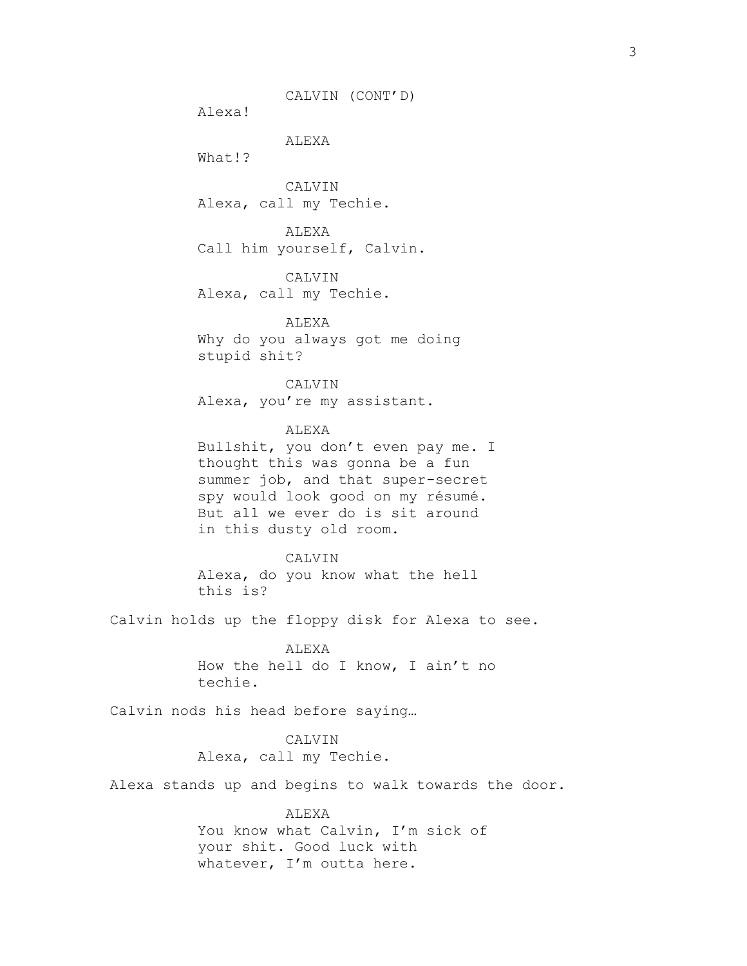CALVIN (CONT'D)

Alexa!

ALEXA

What!?

CALVIN Alexa, call my Techie.

ALEXA Call him yourself, Calvin.

CALVIN Alexa, call my Techie.

ALEXA Why do you always got me doing stupid shit?

CALVIN Alexa, you're my assistant.

## ALEXA

Bullshit, you don't even pay me. I thought this was gonna be a fun summer job, and that super-secret spy would look good on my résumé. But all we ever do is sit around in this dusty old room.

## CALVIN

Alexa, do you know what the hell this is?

Calvin holds up the floppy disk for Alexa to see.

ALEXA How the hell do I know, I ain't no techie.

Calvin nods his head before saying…

CALVIN Alexa, call my Techie.

Alexa stands up and begins to walk towards the door.

## ALEXA You know what Calvin, I'm sick of your shit. Good luck with

whatever, I'm outta here.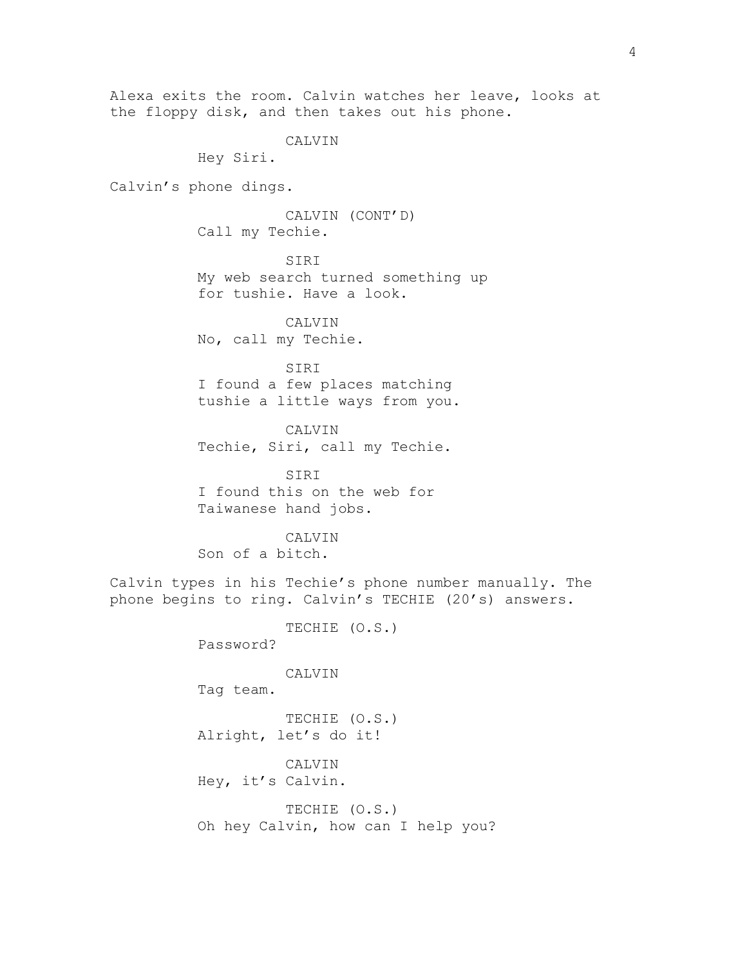Alexa exits the room. Calvin watches her leave, looks at the floppy disk, and then takes out his phone. CALVIN Hey Siri.

Calvin's phone dings.

CALVIN (CONT'D) Call my Techie.

SIRI My web search turned something up for tushie. Have a look.

CALVIN No, call my Techie.

SIRI I found a few places matching tushie a little ways from you.

CALVIN Techie, Siri, call my Techie.

SIRI I found this on the web for Taiwanese hand jobs.

CALVIN Son of a bitch.

Calvin types in his Techie's phone number manually. The phone begins to ring. Calvin's TECHIE (20's) answers.

> TECHIE (O.S.) Password?

> > **CALVIN**

Tag team.

TECHIE (O.S.) Alright, let's do it!

CALVIN Hey, it's Calvin.

TECHIE (O.S.) Oh hey Calvin, how can I help you?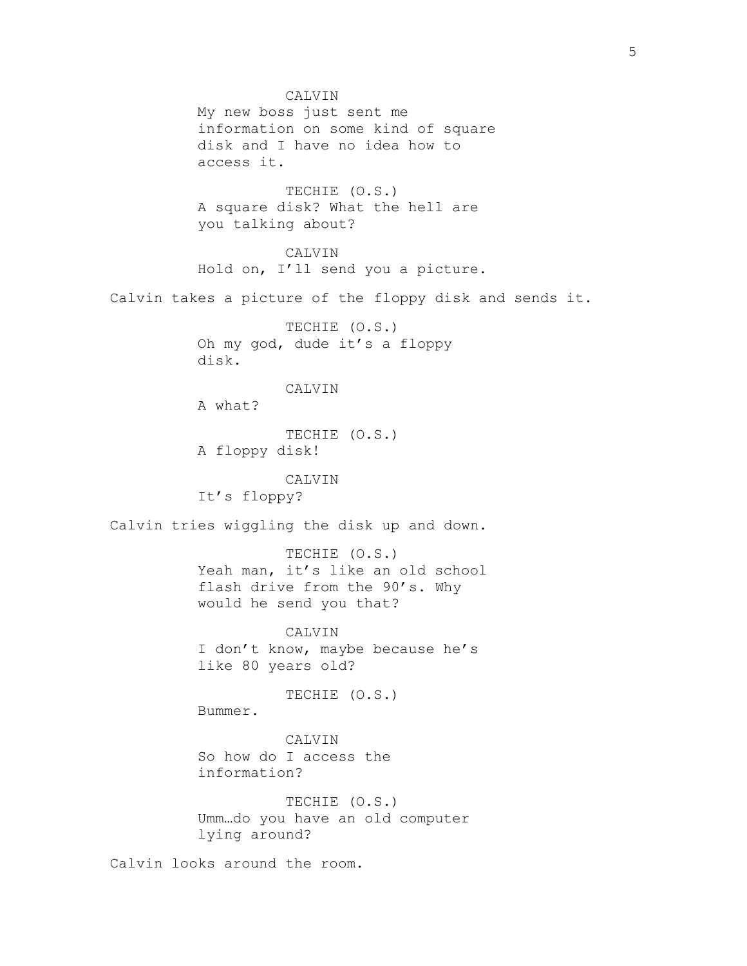CALVIN My new boss just sent me information on some kind of square disk and I have no idea how to access it. TECHIE (O.S.) A square disk? What the hell are you talking about? CALVIN Hold on, I'll send you a picture. Calvin takes a picture of the floppy disk and sends it. TECHIE (O.S.) Oh my god, dude it's a floppy disk. CALVIN A what? TECHIE (O.S.) A floppy disk! CALVIN It's floppy? Calvin tries wiggling the disk up and down. TECHIE (O.S.) Yeah man, it's like an old school flash drive from the 90's. Why would he send you that? CALVIN I don't know, maybe because he's like 80 years old? TECHIE (O.S.) Bummer. CALVIN So how do I access the information? TECHIE (O.S.) Umm…do you have an old computer lying around? Calvin looks around the room.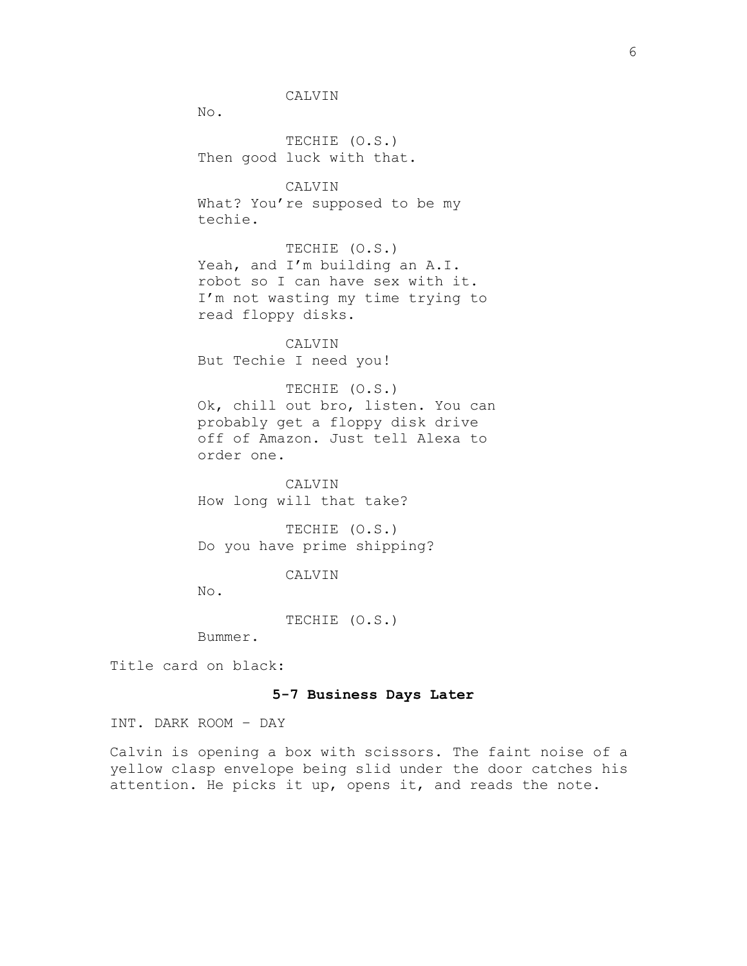CALVIN

No.

TECHIE (O.S.) Then good luck with that.

CALVIN What? You're supposed to be my techie.

TECHIE (O.S.) Yeah, and I'm building an A.I. robot so I can have sex with it. I'm not wasting my time trying to read floppy disks.

CALVIN But Techie I need you!

TECHIE (O.S.) Ok, chill out bro, listen. You can probably get a floppy disk drive off of Amazon. Just tell Alexa to order one.

CALVIN How long will that take?

TECHIE (O.S.) Do you have prime shipping?

CALVIN

No.

TECHIE (O.S.)

Bummer.

Title card on black:

## **5-7 Business Days Later**

INT. DARK ROOM – DAY

Calvin is opening a box with scissors. The faint noise of a yellow clasp envelope being slid under the door catches his attention. He picks it up, opens it, and reads the note.